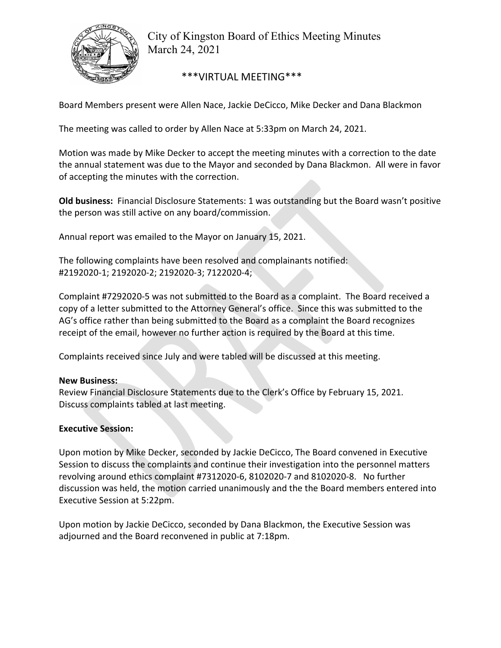

City of Kingston Board of Ethics Meeting Minutes March 24, 2021

\*\*\*VIRTUAL MEETING\*\*\*

Board Members present were Allen Nace, Jackie DeCicco, Mike Decker and Dana Blackmon

The meeting was called to order by Allen Nace at 5:33pm on March 24, 2021.

Motion was made by Mike Decker to accept the meeting minutes with a correction to the date the annual statement was due to the Mayor and seconded by Dana Blackmon. All were in favor of accepting the minutes with the correction.

**Old business:**  Financial Disclosure Statements: 1 was outstanding but the Board wasn't positive the person was still active on any board/commission.

Annual report was emailed to the Mayor on January 15, 2021.

The following complaints have been resolved and complainants notified: #2192020‐1; 2192020‐2; 2192020‐3; 7122020‐4;

Complaint #7292020‐5 was not submitted to the Board as a complaint. The Board received a copy of a letter submitted to the Attorney General's office. Since this was submitted to the AG's office rather than being submitted to the Board as a complaint the Board recognizes receipt of the email, however no further action is required by the Board at this time.

Complaints received since July and were tabled will be discussed at this meeting.

## **New Business:**

Review Financial Disclosure Statements due to the Clerk's Office by February 15, 2021. Discuss complaints tabled at last meeting.

## **Executive Session:**

Upon motion by Mike Decker, seconded by Jackie DeCicco, The Board convened in Executive Session to discuss the complaints and continue their investigation into the personnel matters revolving around ethics complaint #7312020‐6, 8102020‐7 and 8102020‐8. No further discussion was held, the motion carried unanimously and the the Board members entered into Executive Session at 5:22pm.

Upon motion by Jackie DeCicco, seconded by Dana Blackmon, the Executive Session was adjourned and the Board reconvened in public at 7:18pm.